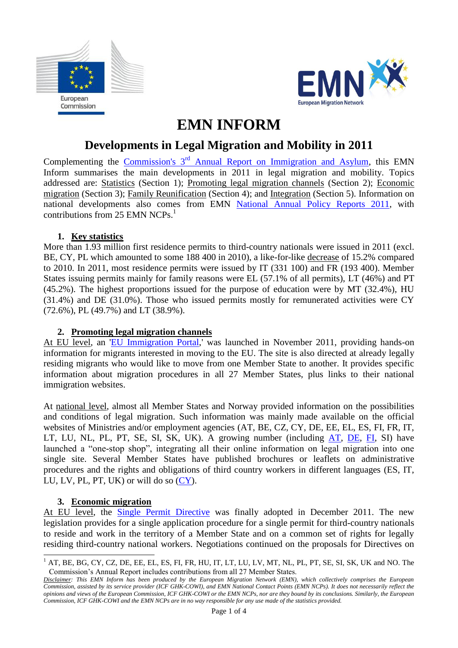



# **EMN INFORM**

# **Developments in Legal Migration and Mobility in 2011**

Complementing the Commission's 3<sup>rd</sup> [Annual Report on Immigration and Asylum,](http://ec.europa.eu/home-affairs/doc_centre/immigration/docs/SWD%202012%20139%20final%201_EN_autre_document_travail_service_part1_v3.pdf) this EMN Inform summarises the main developments in 2011 in legal migration and mobility. Topics addressed are: Statistics (Section 1); Promoting legal migration channels (Section 2); Economic migration (Section 3); Family Reunification (Section 4); and Integration (Section 5). Information on national developments also comes from EMN [National Annual Policy Reports 2011,](http://emn.intrasoft-intl.com/Downloads/prepareShowFiles.do;jsessionid=338662E2EE8E23D2C74F272ACFB50DE9?entryTitle=00.%20Annual%20Policy%20Report%202011) with contributions from 25 EMN NCPs. 1

#### **1. Key statistics**

More than 1.93 million first residence permits to third-country nationals were issued in 2011 (excl. BE, CY, PL which amounted to some 188 400 in 2010), a like-for-like decrease of 15.2% compared to 2010. In 2011, most residence permits were issued by IT (331 100) and FR (193 400). Member States issuing permits mainly for family reasons were EL (57.1% of all permits), LT (46%) and PT (45.2%). The highest proportions issued for the purpose of education were by MT (32.4%), HU (31.4%) and DE (31.0%). Those who issued permits mostly for remunerated activities were CY (72.6%), PL (49.7%) and LT (38.9%).

## **2. Promoting legal migration channels**

At EU level, an ['EU Immigration Portal,](http://ec.europa.eu/immigration/)' was launched in November 2011, providing hands-on information for migrants interested in moving to the EU. The site is also directed at already legally residing migrants who would like to move from one Member State to another. It provides specific information about migration procedures in all 27 Member States, plus links to their national immigration websites.

At national level, almost all Member States and Norway provided information on the possibilities and conditions of legal migration. Such information was mainly made available on the official websites of Ministries and/or employment agencies [\(AT,](../AppData/Local/Microsoft/Windows/Temporary%20Internet%20Files/Content.Outlook/OYP4U0XP/emn.intrasoft-intl.com/Downloads/download.do;jsessionid=2C74A7C58E5341AF9E8D796A5839E319?fileID=3240) BE, CZ, CY, DE, EE, EL, ES, FI, FR, IT, LT, LU, NL, PL, PT, SE, SI, SK, UK). A growing number (including [AT,](http://emn.intrasoft-intl.com/Downloads/prepareShowFiles.do;jsessionid=D8D8433C7BB4C77A3A64AEA861B5CE8F?entryTitle=00.%20Annual%20Policy%20Report%202011) [DE,](http://emn.intrasoft-intl.com/Downloads/prepareShowFiles.do;jsessionid=D8D8433C7BB4C77A3A64AEA861B5CE8F?entryTitle=00.%20Annual%20Policy%20Report%202011) [FI,](http://emn.intrasoft-intl.com/Downloads/prepareShowFiles.do;jsessionid=D8D8433C7BB4C77A3A64AEA861B5CE8F?entryTitle=00.%20Annual%20Policy%20Report%202011) SI) have launched a "one-stop shop", integrating all their online information on legal migration into one single site. Several Member States have published brochures or leaflets on administrative procedures and the rights and obligations of third country workers in different languages (ES, IT, LU, LV, PL, PT, UK) or will do so  $CY$ .

#### **3. Economic migration**

-

At EU level, the [Single Permit Directive](http://eur-lex.europa.eu/LexUriServ/LexUriServ.do?uri=OJ:L:2011:343:0001:0009:EN:PDF) was finally adopted in December 2011. The new legislation provides for a single application procedure for a single permit for third-country nationals to reside and work in the territory of a Member State and on a common set of rights for legally residing third-country national workers. Negotiations continued on the proposals for Directives on

<sup>&</sup>lt;sup>1</sup> AT, BE, BG, CY, CZ, DE, EE, EL, ES, FI, FR, HU, IT, LT, LU, LV, MT, NL, PL, PT, SE, SI, SK, UK and NO. The Commission's Annual Report includes contributions from all 27 Member States.

*Disclaimer: This EMN Inform has been produced by the European Migration Network (EMN), which collectively comprises the European Commission, assisted by its service provider (ICF GHK-COWI), and EMN National Contact Points (EMN NCPs). It does not necessarily reflect the opinions and views of the European Commission, ICF GHK-COWI or the EMN NCPs, nor are they bound by its conclusions. Similarly, the European Commission, ICF GHK-COWI and the EMN NCPs are in no way responsible for any use made of the statistics provided.*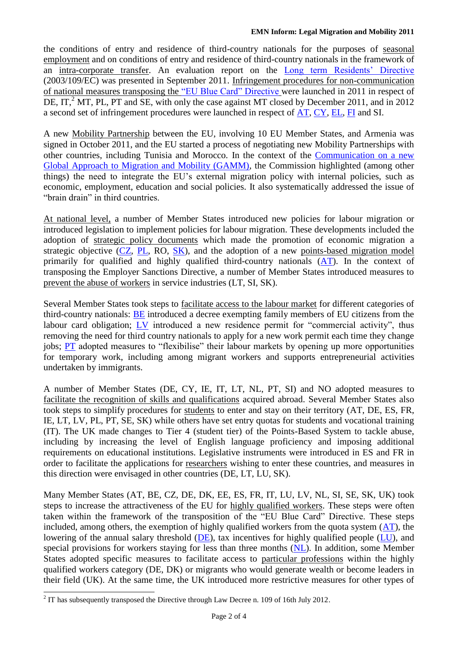the conditions of entry and residence of third-country nationals for the purposes of seasonal employment and on conditions of entry and residence of third-country nationals in the framework of an intra-corporate transfer. An evaluation report on the [Long term Residents' Directive](http://eur-lex.europa.eu/LexUriServ/LexUriServ.do?uri=OJ:L:2004:016:0044:0053:en:pdf) (2003/109/EC) was presented in September 2011. Infringement procedures for non-communication of national measures transposing the ["EU Blue Card" Directive](http://eur-lex.europa.eu/LexUriServ/LexUriServ.do?uri=OJ:l:2009:155:0017:0029:en:PDF) were launched in 2011 in respect of DE,  $IT<sup>2</sup> MT$ , PL, PT and SE, with only the case against MT closed by December 2011, and in 2012 a second set of infringement procedures were launched in respect of [AT, CY, EL, FI](http://emn.intrasoft-intl.com/Downloads/prepareShowFiles.do;jsessionid=D8D8433C7BB4C77A3A64AEA861B5CE8F?entryTitle=00.%20Annual%20Policy%20Report%202011) and SI.

A new Mobility Partnership between the EU, involving 10 EU Member States, and Armenia was signed in October 2011, and the EU started a process of negotiating new Mobility Partnerships with other countries, including Tunisia and Morocco. In the context of the [Communication on a new](http://eur-lex.europa.eu/LexUriServ/LexUriServ.do?uri=COM:2011:0743:FIN:EN:PDF)  [Global Approach to Migration and Mobility \(GAMM\),](http://eur-lex.europa.eu/LexUriServ/LexUriServ.do?uri=COM:2011:0743:FIN:EN:PDF) the Commission highlighted (among other things) the need to integrate the EU's external migration policy with internal policies, such as economic, employment, education and social policies. It also systematically addressed the issue of "brain drain" in third countries.

At national level, a number of Member States introduced new policies for labour migration or introduced legislation to implement policies for labour migration. These developments included the adoption of strategic policy documents which made the promotion of economic migration a strategic objective  $(CZ, PL, RO, SK)$  $(CZ, PL, RO, SK)$  $(CZ, PL, RO, SK)$ , and the adoption of a new points-based migration model primarily for qualified and highly qualified third-country nationals  $(AT)$ . In the context of transposing the Employer Sanctions Directive, a number of Member States introduced measures to prevent the abuse of workers in service industries (LT, SI, SK).

Several Member States took steps to facilitate access to the labour market for different categories of third-country nationals: [BE](http://emn.intrasoft-intl.com/Downloads/prepareShowFiles.do;jsessionid=D8D8433C7BB4C77A3A64AEA861B5CE8F?entryTitle=00.%20Annual%20Policy%20Report%202011) introduced a decree exempting family members of EU citizens from the labour card obligation; [LV](http://emn.intrasoft-intl.com/Downloads/prepareShowFiles.do;jsessionid=D8D8433C7BB4C77A3A64AEA861B5CE8F?entryTitle=00.%20Annual%20Policy%20Report%202011) introduced a new residence permit for "commercial activity", thus removing the need for third country nationals to apply for a new work permit each time they change jobs; [PT](http://emn.intrasoft-intl.com/Downloads/prepareShowFiles.do;jsessionid=D8D8433C7BB4C77A3A64AEA861B5CE8F?entryTitle=00.%20Annual%20Policy%20Report%202011) adopted measures to "flexibilise" their labour markets by opening up more opportunities for temporary work, including among migrant workers and supports entrepreneurial activities undertaken by immigrants.

A number of Member States (DE, CY, IE, IT, LT, NL, PT, SI) and NO adopted measures to facilitate the recognition of skills and qualifications acquired abroad. Several Member States also took steps to simplify procedures for students to enter and stay on their territory [\(AT,](../AppData/Local/Microsoft/Windows/Temporary%20Internet%20Files/Content.Outlook/OYP4U0XP/emn.intrasoft-intl.com/Downloads/download.do;jsessionid=2C74A7C58E5341AF9E8D796A5839E319?fileID=3240) DE, ES, FR, IE, LT, LV, PL, PT, SE, SK) while others have set entry quotas for students and vocational training (IT). The UK made changes to Tier 4 (student tier) of the Points-Based System to tackle abuse, including by increasing the level of English language proficiency and imposing additional requirements on educational institutions. Legislative instruments were introduced in ES and FR in order to facilitate the applications for researchers wishing to enter these countries, and measures in this direction were envisaged in other countries (DE, LT, LU, SK).

Many Member States [\(AT,](../AppData/Local/Microsoft/Windows/Temporary%20Internet%20Files/Content.Outlook/OYP4U0XP/emn.intrasoft-intl.com/Downloads/download.do;jsessionid=2C74A7C58E5341AF9E8D796A5839E319?fileID=3240) BE, CZ, DE, DK, EE, ES, FR, IT, LU, LV, NL, SI, SE, SK, UK) took steps to increase the attractiveness of the EU for highly qualified workers. These steps were often taken within the framework of the transposition of the "EU Blue Card" Directive. These steps included, among others, the exemption of highly qualified workers from the quota system  $(AT)$ , the lowering of the annual salary threshold [\(DE\)](http://emn.intrasoft-intl.com/Downloads/prepareShowFiles.do;jsessionid=D8D8433C7BB4C77A3A64AEA861B5CE8F?entryTitle=00.%20Annual%20Policy%20Report%202011), tax incentives for highly qualified people [\(LU\)](http://emn.intrasoft-intl.com/Downloads/prepareShowFiles.do;jsessionid=D8D8433C7BB4C77A3A64AEA861B5CE8F?entryTitle=00.%20Annual%20Policy%20Report%202011), and special provisions for workers staying for less than three months [\(NL\)](http://emn.intrasoft-intl.com/Downloads/prepareShowFiles.do;jsessionid=D8D8433C7BB4C77A3A64AEA861B5CE8F?entryTitle=00.%20Annual%20Policy%20Report%202011). In addition, some Member States adopted specific measures to facilitate access to particular professions within the highly qualified workers category (DE, DK) or migrants who would generate wealth or become leaders in their field (UK). At the same time, the UK introduced more restrictive measures for other types of

<sup>&</sup>lt;sup>2</sup> IT has subsequently transposed the Directive through Law Decree n. 109 of 16th July 2012.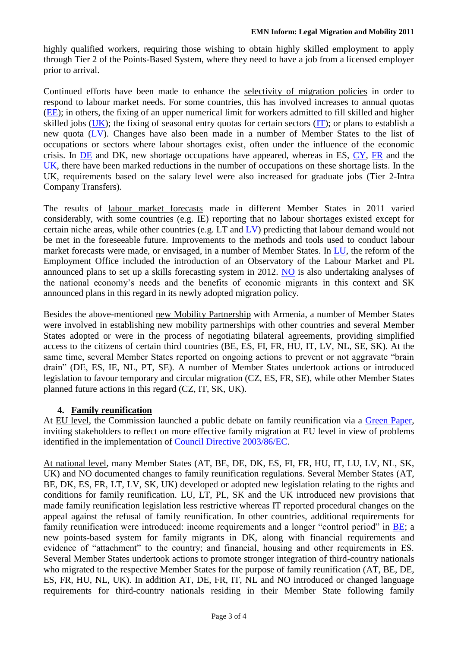highly qualified workers, requiring those wishing to obtain highly skilled employment to apply through Tier 2 of the Points-Based System, where they need to have a job from a licensed employer prior to arrival.

Continued efforts have been made to enhance the selectivity of migration policies in order to respond to labour market needs. For some countries, this has involved increases to annual quotas [\(EE\)](http://emn.intrasoft-intl.com/Downloads/prepareShowFiles.do;jsessionid=D8D8433C7BB4C77A3A64AEA861B5CE8F?entryTitle=00.%20Annual%20Policy%20Report%202011); in others, the fixing of an upper numerical limit for workers admitted to fill skilled and higher skilled jobs [\(UK\)](http://emn.intrasoft-intl.com/Downloads/prepareShowFiles.do;jsessionid=D8D8433C7BB4C77A3A64AEA861B5CE8F?entryTitle=00.%20Annual%20Policy%20Report%202011); the fixing of seasonal entry quotas for certain sectors [\(IT\)](http://emn.intrasoft-intl.com/Downloads/prepareShowFiles.do;jsessionid=D8D8433C7BB4C77A3A64AEA861B5CE8F?entryTitle=00.%20Annual%20Policy%20Report%202011); or plans to establish a new quota [\(LV\)](http://emn.intrasoft-intl.com/Downloads/prepareShowFiles.do;jsessionid=D8D8433C7BB4C77A3A64AEA861B5CE8F?entryTitle=00.%20Annual%20Policy%20Report%202011). Changes have also been made in a number of Member States to the list of occupations or sectors where labour shortages exist, often under the influence of the economic crisis. In [DE](http://emn.intrasoft-intl.com/Downloads/prepareShowFiles.do;jsessionid=D8D8433C7BB4C77A3A64AEA861B5CE8F?entryTitle=00.%20Annual%20Policy%20Report%202011) and DK, new shortage occupations have appeared, whereas in ES, [CY, FR](http://emn.intrasoft-intl.com/Downloads/prepareShowFiles.do;jsessionid=D8D8433C7BB4C77A3A64AEA861B5CE8F?entryTitle=00.%20Annual%20Policy%20Report%202011) and the [UK,](http://emn.intrasoft-intl.com/Downloads/prepareShowFiles.do;jsessionid=D8D8433C7BB4C77A3A64AEA861B5CE8F?entryTitle=00.%20Annual%20Policy%20Report%202011) there have been marked reductions in the number of occupations on these shortage lists. In the UK, requirements based on the salary level were also increased for graduate jobs (Tier 2-Intra Company Transfers).

The results of labour market forecasts made in different Member States in 2011 varied considerably, with some countries (e.g. IE) reporting that no labour shortages existed except for certain niche areas, while other countries (e.g. LT and [LV\)](http://emn.intrasoft-intl.com/Downloads/prepareShowFiles.do;jsessionid=D8D8433C7BB4C77A3A64AEA861B5CE8F?entryTitle=00.%20Annual%20Policy%20Report%202011) predicting that labour demand would not be met in the foreseeable future. Improvements to the methods and tools used to conduct labour market forecasts were made, or envisaged, in a number of Member States. In [LU,](http://emn.intrasoft-intl.com/Downloads/prepareShowFiles.do;jsessionid=D8D8433C7BB4C77A3A64AEA861B5CE8F?entryTitle=00.%20Annual%20Policy%20Report%202011) the reform of the Employment Office included the introduction of an Observatory of the Labour Market and PL announced plans to set up a skills forecasting system in 2012. [NO](http://emn.intrasoft-intl.com/Downloads/prepareShowFiles.do;jsessionid=D8D8433C7BB4C77A3A64AEA861B5CE8F?entryTitle=00.%20Annual%20Policy%20Report%202011) is also undertaking analyses of the national economy's needs and the benefits of economic migrants in this context and SK announced plans in this regard in its newly adopted migration policy.

Besides the above-mentioned new Mobility Partnership with Armenia, a number of Member States were involved in establishing new mobility partnerships with other countries and several Member States adopted or were in the process of negotiating bilateral agreements, providing simplified access to the citizens of certain third countries (BE, ES, FI, FR, HU, IT, LV, NL, SE, SK). At the same time, several Member States reported on ongoing actions to prevent or not aggravate "brain drain" (DE, ES, IE, NL, PT, SE). A number of Member States undertook actions or introduced legislation to favour temporary and circular migration (CZ, ES, FR, SE), while other Member States planned future actions in this regard (CZ, IT, SK, UK).

#### **4. Family reunification**

At EU level, the Commission launched a public debate on family reunification via a [Green Paper,](http://eur-lex.europa.eu/LexUriServ/LexUriServ.do?uri=COM:2011:0735:FIN:EN:PDF) inviting stakeholders to reflect on more effective family migration at EU level in view of problems identified in the implementation of [Council Directive 2003/86/EC.](http://eur-lex.europa.eu/LexUriServ/LexUriServ.do?uri=OJ:L:2003:251:0012:0018:en:PDF)

At national level, many Member States [\(AT,](../AppData/Local/Microsoft/Windows/Temporary%20Internet%20Files/Content.Outlook/OYP4U0XP/emn.intrasoft-intl.com/Downloads/download.do;jsessionid=2C74A7C58E5341AF9E8D796A5839E319?fileID=3240) BE, DE, DK, ES, FI, FR, HU, IT, LU, LV, NL, SK, UK) and NO documented changes to family reunification regulations. Several Member States (AT, BE, DK, ES, FR, LT, LV, SK, UK) developed or adopted new legislation relating to the rights and conditions for family reunification. LU, LT, PL, SK and the UK introduced new provisions that made family reunification legislation less restrictive whereas IT reported procedural changes on the appeal against the refusal of family reunification. In other countries, additional requirements for family reunification were introduced: income requirements and a longer "control period" in [BE;](http://emn.intrasoft-intl.com/Downloads/prepareShowFiles.do;jsessionid=D8D8433C7BB4C77A3A64AEA861B5CE8F?entryTitle=00.%20Annual%20Policy%20Report%202011) a new points-based system for family migrants in DK, along with financial requirements and evidence of "attachment" to the country; and financial, housing and other requirements in ES. Several Member States undertook actions to promote stronger integration of third-country nationals who migrated to the respective Member States for the purpose of family reunification [\(AT,](../AppData/Local/Microsoft/Windows/Temporary%20Internet%20Files/Content.Outlook/OYP4U0XP/emn.intrasoft-intl.com/Downloads/download.do;jsessionid=2C74A7C58E5341AF9E8D796A5839E319?fileID=3240) BE, DE, ES, FR, HU, NL, UK). In addition [AT,](../AppData/Local/Microsoft/Windows/Temporary%20Internet%20Files/Content.Outlook/OYP4U0XP/emn.intrasoft-intl.com/Downloads/download.do;jsessionid=2C74A7C58E5341AF9E8D796A5839E319?fileID=3240) DE, FR, IT, NL and NO introduced or changed language requirements for third-country nationals residing in their Member State following family